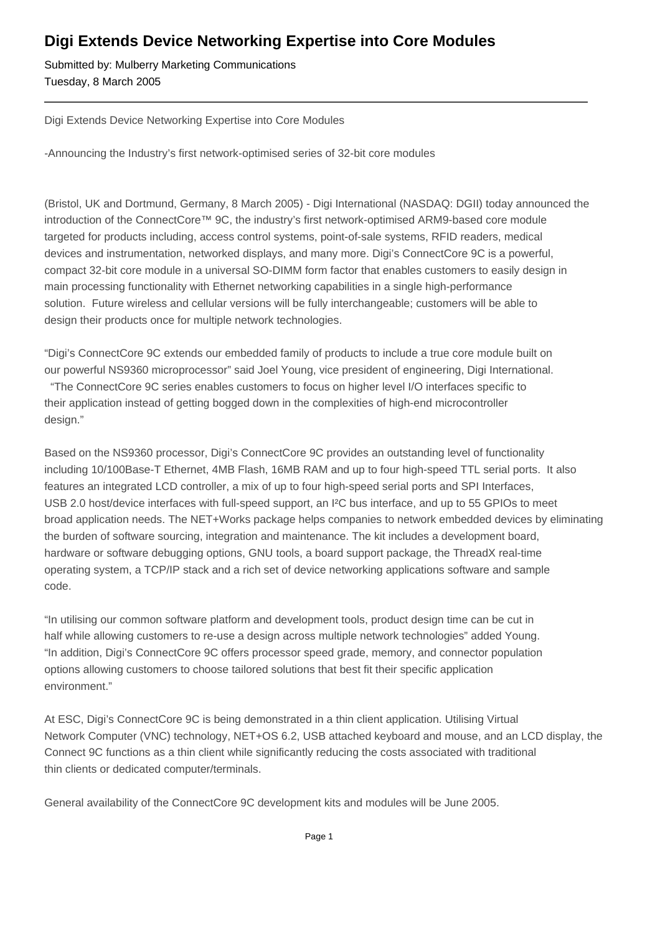## **Digi Extends Device Networking Expertise into Core Modules**

Submitted by: Mulberry Marketing Communications Tuesday, 8 March 2005

Digi Extends Device Networking Expertise into Core Modules

-Announcing the Industry's first network-optimised series of 32-bit core modules

(Bristol, UK and Dortmund, Germany, 8 March 2005) - Digi International (NASDAQ: DGII) today announced the introduction of the ConnectCore™ 9C, the industry's first network-optimised ARM9-based core module targeted for products including, access control systems, point-of-sale systems, RFID readers, medical devices and instrumentation, networked displays, and many more. Digi's ConnectCore 9C is a powerful, compact 32-bit core module in a universal SO-DIMM form factor that enables customers to easily design in main processing functionality with Ethernet networking capabilities in a single high-performance solution. Future wireless and cellular versions will be fully interchangeable; customers will be able to design their products once for multiple network technologies.

"Digi's ConnectCore 9C extends our embedded family of products to include a true core module built on our powerful NS9360 microprocessor" said Joel Young, vice president of engineering, Digi International. "The ConnectCore 9C series enables customers to focus on higher level I/O interfaces specific to their application instead of getting bogged down in the complexities of high-end microcontroller design."

Based on the NS9360 processor, Digi's ConnectCore 9C provides an outstanding level of functionality including 10/100Base-T Ethernet, 4MB Flash, 16MB RAM and up to four high-speed TTL serial ports. It also features an integrated LCD controller, a mix of up to four high-speed serial ports and SPI Interfaces, USB 2.0 host/device interfaces with full-speed support, an I²C bus interface, and up to 55 GPIOs to meet broad application needs. The NET+Works package helps companies to network embedded devices by eliminating the burden of software sourcing, integration and maintenance. The kit includes a development board, hardware or software debugging options, GNU tools, a board support package, the ThreadX real-time operating system, a TCP/IP stack and a rich set of device networking applications software and sample code.

"In utilising our common software platform and development tools, product design time can be cut in half while allowing customers to re-use a design across multiple network technologies" added Young. "In addition, Digi's ConnectCore 9C offers processor speed grade, memory, and connector population options allowing customers to choose tailored solutions that best fit their specific application environment."

At ESC, Digi's ConnectCore 9C is being demonstrated in a thin client application. Utilising Virtual Network Computer (VNC) technology, NET+OS 6.2, USB attached keyboard and mouse, and an LCD display, the Connect 9C functions as a thin client while significantly reducing the costs associated with traditional thin clients or dedicated computer/terminals.

General availability of the ConnectCore 9C development kits and modules will be June 2005.